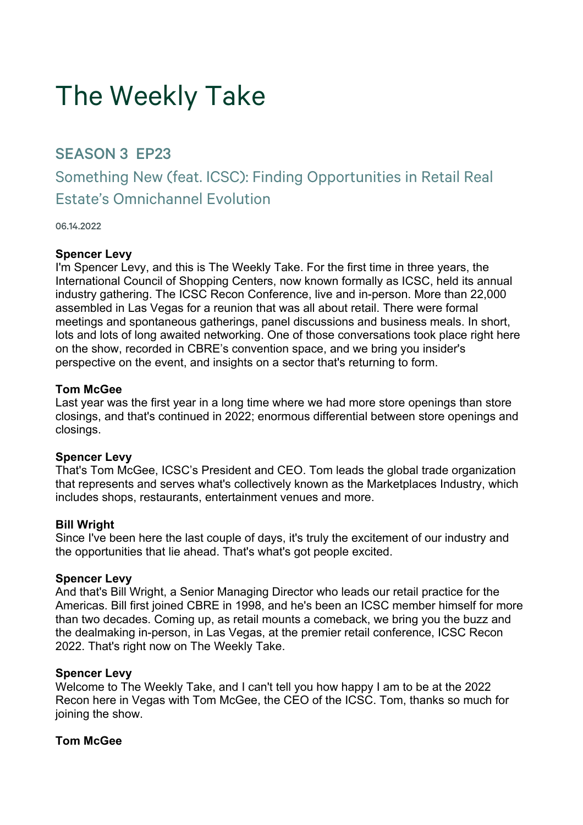# The Weekly Take

# SEASON 3 EP23

Something New (feat. ICSC): Finding Opportunities in Retail Real Estate's Omnichannel Evolution

06.14.2022

#### **Spencer Levy**

I'm Spencer Levy, and this is The Weekly Take. For the first time in three years, the International Council of Shopping Centers, now known formally as ICSC, held its annual industry gathering. The ICSC Recon Conference, live and in-person. More than 22,000 assembled in Las Vegas for a reunion that was all about retail. There were formal meetings and spontaneous gatherings, panel discussions and business meals. In short, lots and lots of long awaited networking. One of those conversations took place right here on the show, recorded in CBRE's convention space, and we bring you insider's perspective on the event, and insights on a sector that's returning to form.

#### **Tom McGee**

Last year was the first year in a long time where we had more store openings than store closings, and that's continued in 2022; enormous differential between store openings and closings.

#### **Spencer Levy**

That's Tom McGee, ICSC's President and CEO. Tom leads the global trade organization that represents and serves what's collectively known as the Marketplaces Industry, which includes shops, restaurants, entertainment venues and more.

#### **Bill Wright**

Since I've been here the last couple of days, it's truly the excitement of our industry and the opportunities that lie ahead. That's what's got people excited.

#### **Spencer Levy**

And that's Bill Wright, a Senior Managing Director who leads our retail practice for the Americas. Bill first joined CBRE in 1998, and he's been an ICSC member himself for more than two decades. Coming up, as retail mounts a comeback, we bring you the buzz and the dealmaking in-person, in Las Vegas, at the premier retail conference, ICSC Recon 2022. That's right now on The Weekly Take.

#### **Spencer Levy**

Welcome to The Weekly Take, and I can't tell you how happy I am to be at the 2022 Recon here in Vegas with Tom McGee, the CEO of the ICSC. Tom, thanks so much for joining the show.

#### **Tom McGee**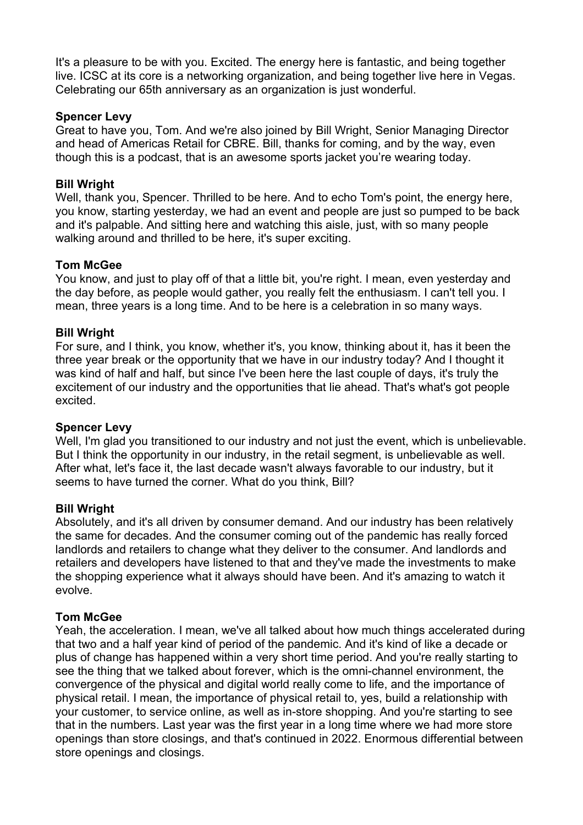It's a pleasure to be with you. Excited. The energy here is fantastic, and being together live. ICSC at its core is a networking organization, and being together live here in Vegas. Celebrating our 65th anniversary as an organization is just wonderful.

#### **Spencer Levy**

Great to have you, Tom. And we're also joined by Bill Wright, Senior Managing Director and head of Americas Retail for CBRE. Bill, thanks for coming, and by the way, even though this is a podcast, that is an awesome sports jacket you're wearing today.

#### **Bill Wright**

Well, thank you, Spencer. Thrilled to be here. And to echo Tom's point, the energy here, you know, starting yesterday, we had an event and people are just so pumped to be back and it's palpable. And sitting here and watching this aisle, just, with so many people walking around and thrilled to be here, it's super exciting.

#### **Tom McGee**

You know, and just to play off of that a little bit, you're right. I mean, even yesterday and the day before, as people would gather, you really felt the enthusiasm. I can't tell you. I mean, three years is a long time. And to be here is a celebration in so many ways.

#### **Bill Wright**

For sure, and I think, you know, whether it's, you know, thinking about it, has it been the three year break or the opportunity that we have in our industry today? And I thought it was kind of half and half, but since I've been here the last couple of days, it's truly the excitement of our industry and the opportunities that lie ahead. That's what's got people excited.

#### **Spencer Levy**

Well, I'm glad you transitioned to our industry and not just the event, which is unbelievable. But I think the opportunity in our industry, in the retail segment, is unbelievable as well. After what, let's face it, the last decade wasn't always favorable to our industry, but it seems to have turned the corner. What do you think, Bill?

#### **Bill Wright**

Absolutely, and it's all driven by consumer demand. And our industry has been relatively the same for decades. And the consumer coming out of the pandemic has really forced landlords and retailers to change what they deliver to the consumer. And landlords and retailers and developers have listened to that and they've made the investments to make the shopping experience what it always should have been. And it's amazing to watch it evolve.

#### **Tom McGee**

Yeah, the acceleration. I mean, we've all talked about how much things accelerated during that two and a half year kind of period of the pandemic. And it's kind of like a decade or plus of change has happened within a very short time period. And you're really starting to see the thing that we talked about forever, which is the omni-channel environment, the convergence of the physical and digital world really come to life, and the importance of physical retail. I mean, the importance of physical retail to, yes, build a relationship with your customer, to service online, as well as in-store shopping. And you're starting to see that in the numbers. Last year was the first year in a long time where we had more store openings than store closings, and that's continued in 2022. Enormous differential between store openings and closings.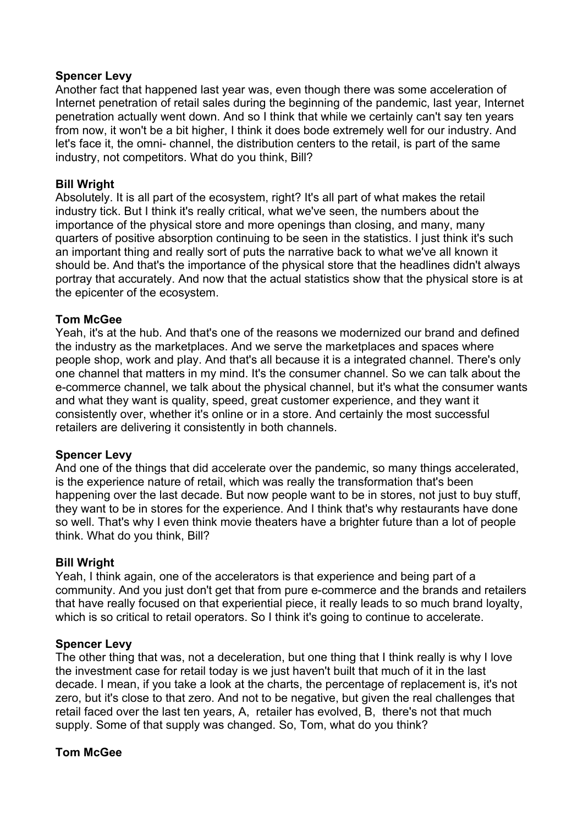#### **Spencer Levy**

Another fact that happened last year was, even though there was some acceleration of Internet penetration of retail sales during the beginning of the pandemic, last year, Internet penetration actually went down. And so I think that while we certainly can't say ten years from now, it won't be a bit higher, I think it does bode extremely well for our industry. And let's face it, the omni- channel, the distribution centers to the retail, is part of the same industry, not competitors. What do you think, Bill?

#### **Bill Wright**

Absolutely. It is all part of the ecosystem, right? It's all part of what makes the retail industry tick. But I think it's really critical, what we've seen, the numbers about the importance of the physical store and more openings than closing, and many, many quarters of positive absorption continuing to be seen in the statistics. I just think it's such an important thing and really sort of puts the narrative back to what we've all known it should be. And that's the importance of the physical store that the headlines didn't always portray that accurately. And now that the actual statistics show that the physical store is at the epicenter of the ecosystem.

# **Tom McGee**

Yeah, it's at the hub. And that's one of the reasons we modernized our brand and defined the industry as the marketplaces. And we serve the marketplaces and spaces where people shop, work and play. And that's all because it is a integrated channel. There's only one channel that matters in my mind. It's the consumer channel. So we can talk about the e-commerce channel, we talk about the physical channel, but it's what the consumer wants and what they want is quality, speed, great customer experience, and they want it consistently over, whether it's online or in a store. And certainly the most successful retailers are delivering it consistently in both channels.

#### **Spencer Levy**

And one of the things that did accelerate over the pandemic, so many things accelerated, is the experience nature of retail, which was really the transformation that's been happening over the last decade. But now people want to be in stores, not just to buy stuff, they want to be in stores for the experience. And I think that's why restaurants have done so well. That's why I even think movie theaters have a brighter future than a lot of people think. What do you think, Bill?

#### **Bill Wright**

Yeah, I think again, one of the accelerators is that experience and being part of a community. And you just don't get that from pure e-commerce and the brands and retailers that have really focused on that experiential piece, it really leads to so much brand loyalty, which is so critical to retail operators. So I think it's going to continue to accelerate.

#### **Spencer Levy**

The other thing that was, not a deceleration, but one thing that I think really is why I love the investment case for retail today is we just haven't built that much of it in the last decade. I mean, if you take a look at the charts, the percentage of replacement is, it's not zero, but it's close to that zero. And not to be negative, but given the real challenges that retail faced over the last ten years, A, retailer has evolved, B, there's not that much supply. Some of that supply was changed. So, Tom, what do you think?

# **Tom McGee**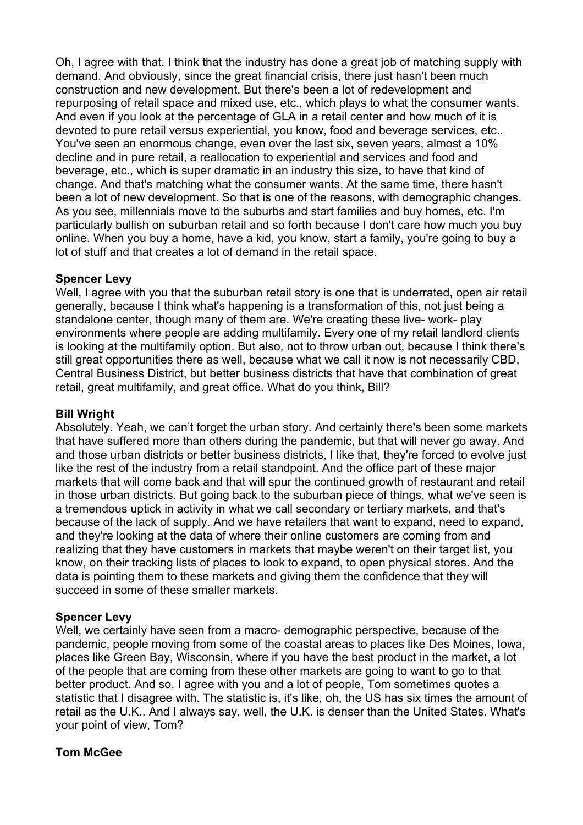Oh, I agree with that. I think that the industry has done a great job of matching supply with demand. And obviously, since the great financial crisis, there just hasn't been much construction and new development. But there's been a lot of redevelopment and repurposing of retail space and mixed use, etc., which plays to what the consumer wants. And even if you look at the percentage of GLA in a retail center and how much of it is devoted to pure retail versus experiential, you know, food and beverage services, etc.. You've seen an enormous change, even over the last six, seven years, almost a 10% decline and in pure retail, a reallocation to experiential and services and food and beverage, etc., which is super dramatic in an industry this size, to have that kind of change. And that's matching what the consumer wants. At the same time, there hasn't been a lot of new development. So that is one of the reasons, with demographic changes. As you see, millennials move to the suburbs and start families and buy homes, etc. I'm particularly bullish on suburban retail and so forth because I don't care how much you buy online. When you buy a home, have a kid, you know, start a family, you're going to buy a lot of stuff and that creates a lot of demand in the retail space.

# **Spencer Levy**

Well, I agree with you that the suburban retail story is one that is underrated, open air retail generally, because I think what's happening is a transformation of this, not just being a standalone center, though many of them are. We're creating these live- work- play environments where people are adding multifamily. Every one of my retail landlord clients is looking at the multifamily option. But also, not to throw urban out, because I think there's still great opportunities there as well, because what we call it now is not necessarily CBD, Central Business District, but better business districts that have that combination of great retail, great multifamily, and great office. What do you think, Bill?

#### **Bill Wright**

Absolutely. Yeah, we can't forget the urban story. And certainly there's been some markets that have suffered more than others during the pandemic, but that will never go away. And and those urban districts or better business districts, I like that, they're forced to evolve just like the rest of the industry from a retail standpoint. And the office part of these major markets that will come back and that will spur the continued growth of restaurant and retail in those urban districts. But going back to the suburban piece of things, what we've seen is a tremendous uptick in activity in what we call secondary or tertiary markets, and that's because of the lack of supply. And we have retailers that want to expand, need to expand, and they're looking at the data of where their online customers are coming from and realizing that they have customers in markets that maybe weren't on their target list, you know, on their tracking lists of places to look to expand, to open physical stores. And the data is pointing them to these markets and giving them the confidence that they will succeed in some of these smaller markets.

#### **Spencer Levy**

Well, we certainly have seen from a macro- demographic perspective, because of the pandemic, people moving from some of the coastal areas to places like Des Moines, Iowa, places like Green Bay, Wisconsin, where if you have the best product in the market, a lot of the people that are coming from these other markets are going to want to go to that better product. And so. I agree with you and a lot of people, Tom sometimes quotes a statistic that I disagree with. The statistic is, it's like, oh, the US has six times the amount of retail as the U.K.. And I always say, well, the U.K. is denser than the United States. What's your point of view, Tom?

# **Tom McGee**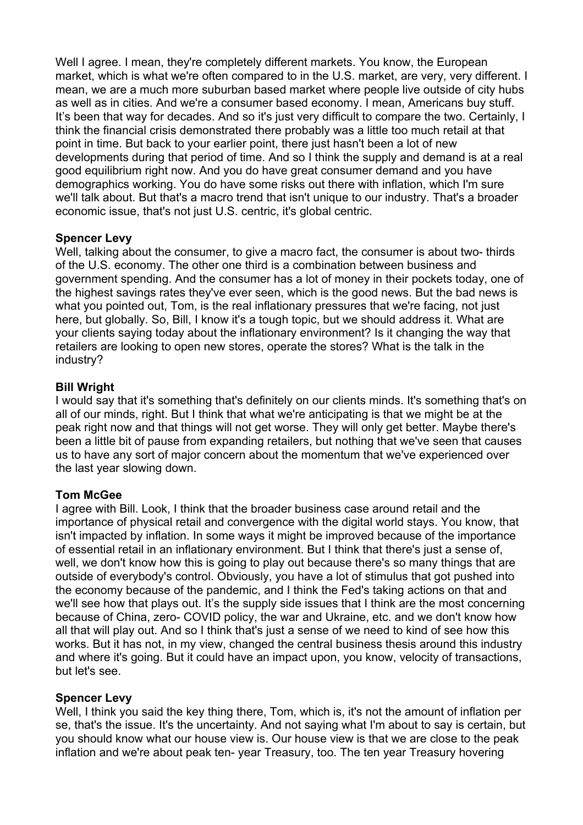Well I agree. I mean, they're completely different markets. You know, the European market, which is what we're often compared to in the U.S. market, are very, very different. I mean, we are a much more suburban based market where people live outside of city hubs as well as in cities. And we're a consumer based economy. I mean, Americans buy stuff. It's been that way for decades. And so it's just very difficult to compare the two. Certainly, I think the financial crisis demonstrated there probably was a little too much retail at that point in time. But back to your earlier point, there just hasn't been a lot of new developments during that period of time. And so I think the supply and demand is at a real good equilibrium right now. And you do have great consumer demand and you have demographics working. You do have some risks out there with inflation, which I'm sure we'll talk about. But that's a macro trend that isn't unique to our industry. That's a broader economic issue, that's not just U.S. centric, it's global centric.

# **Spencer Levy**

Well, talking about the consumer, to give a macro fact, the consumer is about two- thirds of the U.S. economy. The other one third is a combination between business and government spending. And the consumer has a lot of money in their pockets today, one of the highest savings rates they've ever seen, which is the good news. But the bad news is what you pointed out, Tom, is the real inflationary pressures that we're facing, not just here, but globally. So, Bill, I know it's a tough topic, but we should address it. What are your clients saying today about the inflationary environment? Is it changing the way that retailers are looking to open new stores, operate the stores? What is the talk in the industry?

# **Bill Wright**

I would say that it's something that's definitely on our clients minds. It's something that's on all of our minds, right. But I think that what we're anticipating is that we might be at the peak right now and that things will not get worse. They will only get better. Maybe there's been a little bit of pause from expanding retailers, but nothing that we've seen that causes us to have any sort of major concern about the momentum that we've experienced over the last year slowing down.

#### **Tom McGee**

I agree with Bill. Look, I think that the broader business case around retail and the importance of physical retail and convergence with the digital world stays. You know, that isn't impacted by inflation. In some ways it might be improved because of the importance of essential retail in an inflationary environment. But I think that there's just a sense of, well, we don't know how this is going to play out because there's so many things that are outside of everybody's control. Obviously, you have a lot of stimulus that got pushed into the economy because of the pandemic, and I think the Fed's taking actions on that and we'll see how that plays out. It's the supply side issues that I think are the most concerning because of China, zero- COVID policy, the war and Ukraine, etc. and we don't know how all that will play out. And so I think that's just a sense of we need to kind of see how this works. But it has not, in my view, changed the central business thesis around this industry and where it's going. But it could have an impact upon, you know, velocity of transactions, but let's see.

#### **Spencer Levy**

Well, I think you said the key thing there, Tom, which is, it's not the amount of inflation per se, that's the issue. It's the uncertainty. And not saying what I'm about to say is certain, but you should know what our house view is. Our house view is that we are close to the peak inflation and we're about peak ten- year Treasury, too. The ten year Treasury hovering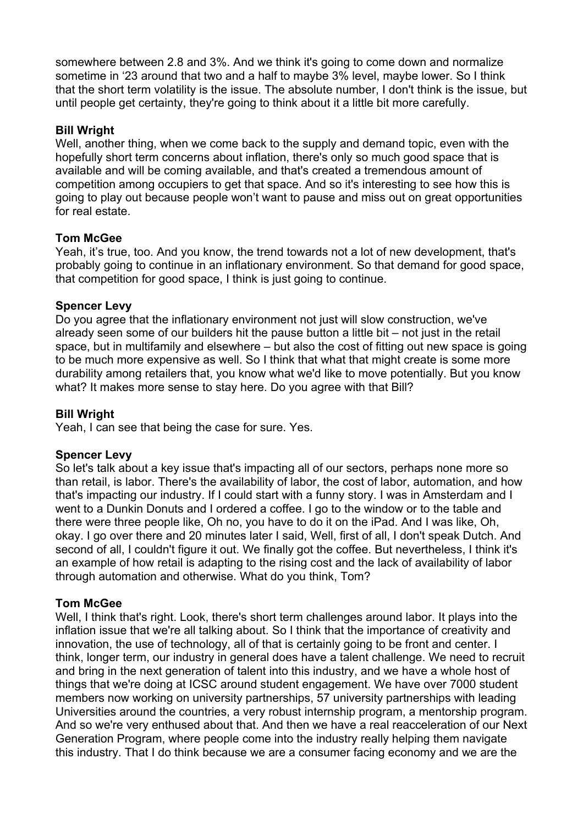somewhere between 2.8 and 3%. And we think it's going to come down and normalize sometime in '23 around that two and a half to maybe 3% level, maybe lower. So I think that the short term volatility is the issue. The absolute number, I don't think is the issue, but until people get certainty, they're going to think about it a little bit more carefully.

#### **Bill Wright**

Well, another thing, when we come back to the supply and demand topic, even with the hopefully short term concerns about inflation, there's only so much good space that is available and will be coming available, and that's created a tremendous amount of competition among occupiers to get that space. And so it's interesting to see how this is going to play out because people won't want to pause and miss out on great opportunities for real estate.

#### **Tom McGee**

Yeah, it's true, too. And you know, the trend towards not a lot of new development, that's probably going to continue in an inflationary environment. So that demand for good space, that competition for good space, I think is just going to continue.

# **Spencer Levy**

Do you agree that the inflationary environment not just will slow construction, we've already seen some of our builders hit the pause button a little bit – not just in the retail space, but in multifamily and elsewhere – but also the cost of fitting out new space is going to be much more expensive as well. So I think that what that might create is some more durability among retailers that, you know what we'd like to move potentially. But you know what? It makes more sense to stay here. Do you agree with that Bill?

#### **Bill Wright**

Yeah, I can see that being the case for sure. Yes.

#### **Spencer Levy**

So let's talk about a key issue that's impacting all of our sectors, perhaps none more so than retail, is labor. There's the availability of labor, the cost of labor, automation, and how that's impacting our industry. If I could start with a funny story. I was in Amsterdam and I went to a Dunkin Donuts and I ordered a coffee. I go to the window or to the table and there were three people like, Oh no, you have to do it on the iPad. And I was like, Oh, okav. I go over there and 20 minutes later I said, Well, first of all, I don't speak Dutch. And second of all, I couldn't figure it out. We finally got the coffee. But nevertheless, I think it's an example of how retail is adapting to the rising cost and the lack of availability of labor through automation and otherwise. What do you think, Tom?

#### **Tom McGee**

Well, I think that's right. Look, there's short term challenges around labor. It plays into the inflation issue that we're all talking about. So I think that the importance of creativity and innovation, the use of technology, all of that is certainly going to be front and center. I think, longer term, our industry in general does have a talent challenge. We need to recruit and bring in the next generation of talent into this industry, and we have a whole host of things that we're doing at ICSC around student engagement. We have over 7000 student members now working on university partnerships, 57 university partnerships with leading Universities around the countries, a very robust internship program, a mentorship program. And so we're very enthused about that. And then we have a real reacceleration of our Next Generation Program, where people come into the industry really helping them navigate this industry. That I do think because we are a consumer facing economy and we are the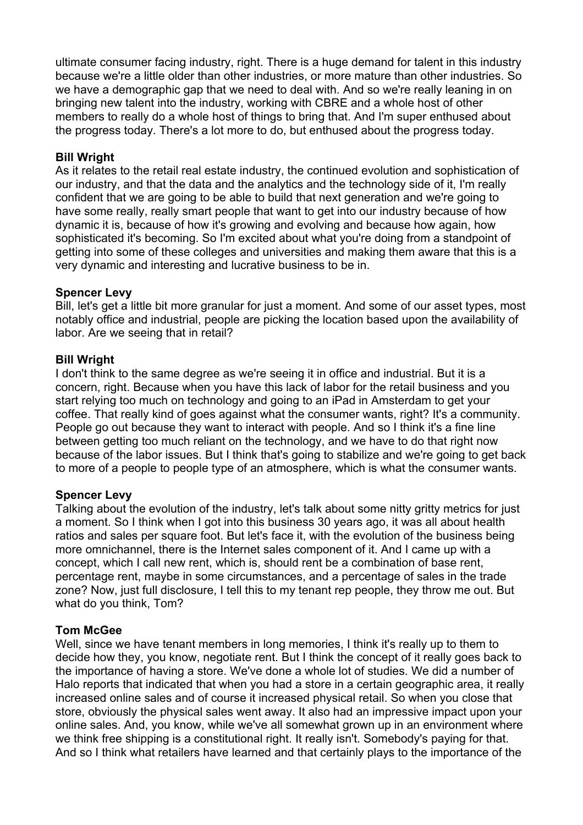ultimate consumer facing industry, right. There is a huge demand for talent in this industry because we're a little older than other industries, or more mature than other industries. So we have a demographic gap that we need to deal with. And so we're really leaning in on bringing new talent into the industry, working with CBRE and a whole host of other members to really do a whole host of things to bring that. And I'm super enthused about the progress today. There's a lot more to do, but enthused about the progress today.

#### **Bill Wright**

As it relates to the retail real estate industry, the continued evolution and sophistication of our industry, and that the data and the analytics and the technology side of it, I'm really confident that we are going to be able to build that next generation and we're going to have some really, really smart people that want to get into our industry because of how dynamic it is, because of how it's growing and evolving and because how again, how sophisticated it's becoming. So I'm excited about what you're doing from a standpoint of getting into some of these colleges and universities and making them aware that this is a very dynamic and interesting and lucrative business to be in.

# **Spencer Levy**

Bill, let's get a little bit more granular for just a moment. And some of our asset types, most notably office and industrial, people are picking the location based upon the availability of labor. Are we seeing that in retail?

# **Bill Wright**

I don't think to the same degree as we're seeing it in office and industrial. But it is a concern, right. Because when you have this lack of labor for the retail business and you start relying too much on technology and going to an iPad in Amsterdam to get your coffee. That really kind of goes against what the consumer wants, right? It's a community. People go out because they want to interact with people. And so I think it's a fine line between getting too much reliant on the technology, and we have to do that right now because of the labor issues. But I think that's going to stabilize and we're going to get back to more of a people to people type of an atmosphere, which is what the consumer wants.

#### **Spencer Levy**

Talking about the evolution of the industry, let's talk about some nitty gritty metrics for just a moment. So I think when I got into this business 30 years ago, it was all about health ratios and sales per square foot. But let's face it, with the evolution of the business being more omnichannel, there is the Internet sales component of it. And I came up with a concept, which I call new rent, which is, should rent be a combination of base rent, percentage rent, maybe in some circumstances, and a percentage of sales in the trade zone? Now, just full disclosure, I tell this to my tenant rep people, they throw me out. But what do you think, Tom?

# **Tom McGee**

Well, since we have tenant members in long memories, I think it's really up to them to decide how they, you know, negotiate rent. But I think the concept of it really goes back to the importance of having a store. We've done a whole lot of studies. We did a number of Halo reports that indicated that when you had a store in a certain geographic area, it really increased online sales and of course it increased physical retail. So when you close that store, obviously the physical sales went away. It also had an impressive impact upon your online sales. And, you know, while we've all somewhat grown up in an environment where we think free shipping is a constitutional right. It really isn't. Somebody's paying for that. And so I think what retailers have learned and that certainly plays to the importance of the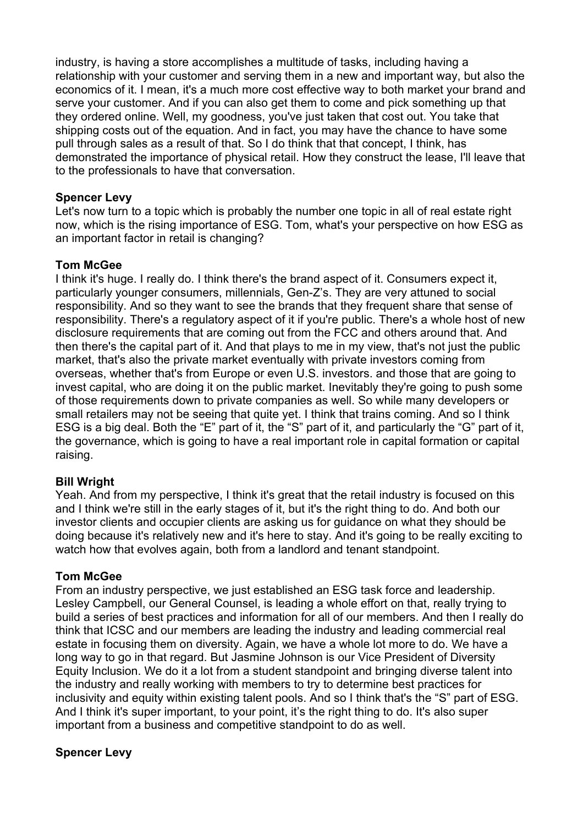industry, is having a store accomplishes a multitude of tasks, including having a relationship with your customer and serving them in a new and important way, but also the economics of it. I mean, it's a much more cost effective way to both market your brand and serve your customer. And if you can also get them to come and pick something up that they ordered online. Well, my goodness, you've just taken that cost out. You take that shipping costs out of the equation. And in fact, you may have the chance to have some pull through sales as a result of that. So I do think that that concept, I think, has demonstrated the importance of physical retail. How they construct the lease, I'll leave that to the professionals to have that conversation.

# **Spencer Levy**

Let's now turn to a topic which is probably the number one topic in all of real estate right now, which is the rising importance of ESG. Tom, what's your perspective on how ESG as an important factor in retail is changing?

# **Tom McGee**

I think it's huge. I really do. I think there's the brand aspect of it. Consumers expect it, particularly younger consumers, millennials, Gen-Z's. They are very attuned to social responsibility. And so they want to see the brands that they frequent share that sense of responsibility. There's a regulatory aspect of it if you're public. There's a whole host of new disclosure requirements that are coming out from the FCC and others around that. And then there's the capital part of it. And that plays to me in my view, that's not just the public market, that's also the private market eventually with private investors coming from overseas, whether that's from Europe or even U.S. investors. and those that are going to invest capital, who are doing it on the public market. Inevitably they're going to push some of those requirements down to private companies as well. So while many developers or small retailers may not be seeing that quite yet. I think that trains coming. And so I think ESG is a big deal. Both the "E" part of it, the "S" part of it, and particularly the "G" part of it, the governance, which is going to have a real important role in capital formation or capital raising.

#### **Bill Wright**

Yeah. And from my perspective, I think it's great that the retail industry is focused on this and I think we're still in the early stages of it, but it's the right thing to do. And both our investor clients and occupier clients are asking us for guidance on what they should be doing because it's relatively new and it's here to stay. And it's going to be really exciting to watch how that evolves again, both from a landlord and tenant standpoint.

#### **Tom McGee**

From an industry perspective, we just established an ESG task force and leadership. Lesley Campbell, our General Counsel, is leading a whole effort on that, really trying to build a series of best practices and information for all of our members. And then I really do think that ICSC and our members are leading the industry and leading commercial real estate in focusing them on diversity. Again, we have a whole lot more to do. We have a long way to go in that regard. But Jasmine Johnson is our Vice President of Diversity Equity Inclusion. We do it a lot from a student standpoint and bringing diverse talent into the industry and really working with members to try to determine best practices for inclusivity and equity within existing talent pools. And so I think that's the "S" part of ESG. And I think it's super important, to your point, it's the right thing to do. It's also super important from a business and competitive standpoint to do as well.

# **Spencer Levy**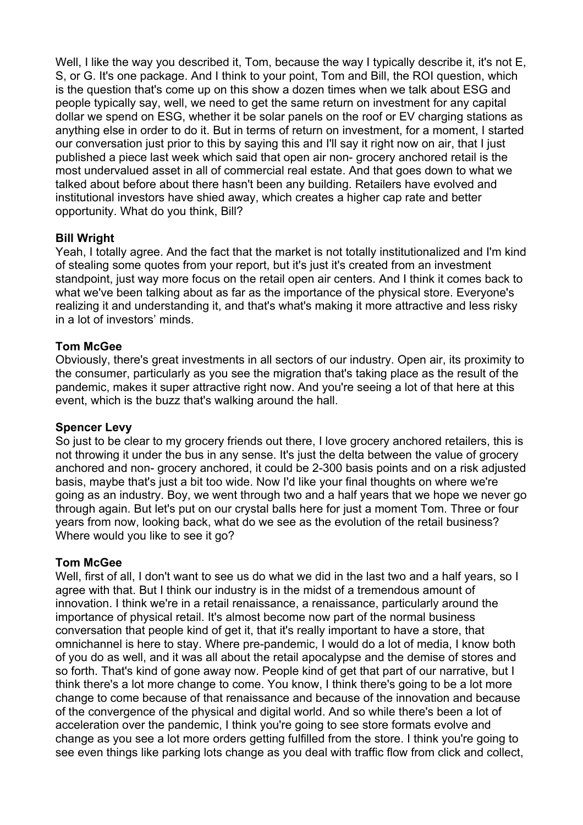Well, I like the way you described it, Tom, because the way I typically describe it, it's not E, S, or G. It's one package. And I think to your point, Tom and Bill, the ROI question, which is the question that's come up on this show a dozen times when we talk about ESG and people typically say, well, we need to get the same return on investment for any capital dollar we spend on ESG, whether it be solar panels on the roof or EV charging stations as anything else in order to do it. But in terms of return on investment, for a moment, I started our conversation just prior to this by saying this and I'll say it right now on air, that I just published a piece last week which said that open air non- grocery anchored retail is the most undervalued asset in all of commercial real estate. And that goes down to what we talked about before about there hasn't been any building. Retailers have evolved and institutional investors have shied away, which creates a higher cap rate and better opportunity. What do you think, Bill?

# **Bill Wright**

Yeah, I totally agree. And the fact that the market is not totally institutionalized and I'm kind of stealing some quotes from your report, but it's just it's created from an investment standpoint, just way more focus on the retail open air centers. And I think it comes back to what we've been talking about as far as the importance of the physical store. Everyone's realizing it and understanding it, and that's what's making it more attractive and less risky in a lot of investors' minds.

# **Tom McGee**

Obviously, there's great investments in all sectors of our industry. Open air, its proximity to the consumer, particularly as you see the migration that's taking place as the result of the pandemic, makes it super attractive right now. And you're seeing a lot of that here at this event, which is the buzz that's walking around the hall.

#### **Spencer Levy**

So just to be clear to my grocery friends out there, I love grocery anchored retailers, this is not throwing it under the bus in any sense. It's just the delta between the value of grocery anchored and non- grocery anchored, it could be 2-300 basis points and on a risk adjusted basis, maybe that's just a bit too wide. Now I'd like your final thoughts on where we're going as an industry. Boy, we went through two and a half years that we hope we never go through again. But let's put on our crystal balls here for just a moment Tom. Three or four years from now, looking back, what do we see as the evolution of the retail business? Where would you like to see it go?

# **Tom McGee**

Well, first of all, I don't want to see us do what we did in the last two and a half years, so I agree with that. But I think our industry is in the midst of a tremendous amount of innovation. I think we're in a retail renaissance, a renaissance, particularly around the importance of physical retail. It's almost become now part of the normal business conversation that people kind of get it, that it's really important to have a store, that omnichannel is here to stay. Where pre-pandemic, I would do a lot of media, I know both of you do as well, and it was all about the retail apocalypse and the demise of stores and so forth. That's kind of gone away now. People kind of get that part of our narrative, but I think there's a lot more change to come. You know, I think there's going to be a lot more change to come because of that renaissance and because of the innovation and because of the convergence of the physical and digital world. And so while there's been a lot of acceleration over the pandemic, I think you're going to see store formats evolve and change as you see a lot more orders getting fulfilled from the store. I think you're going to see even things like parking lots change as you deal with traffic flow from click and collect,